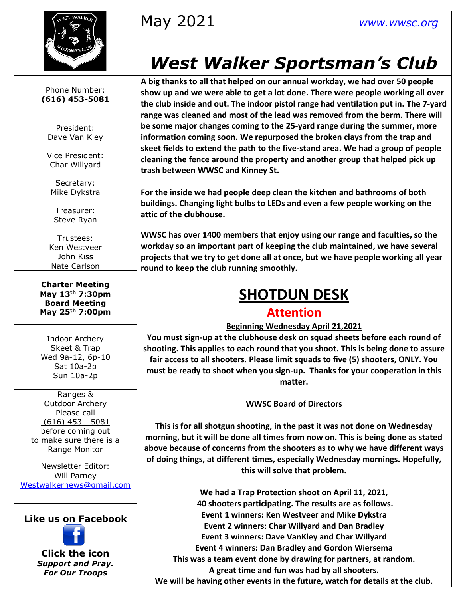

May 2021 *[www.wwsc.org](http://www.wwsc.org/)*

# *West Walker Sportsman's Club*

**A big thanks to all that helped on our annual workday, we had over 50 people show up and we were able to get a lot done. There were people working all over the club inside and out. The indoor pistol range had ventilation put in. The 7-yard range was cleaned and most of the lead was removed from the berm. There will be some major changes coming to the 25-yard range during the summer, more information coming soon. We repurposed the broken clays from the trap and skeet fields to extend the path to the five-stand area. We had a group of people cleaning the fence around the property and another group that helped pick up trash between WWSC and Kinney St.**

**For the inside we had people deep clean the kitchen and bathrooms of both buildings. Changing light bulbs to LEDs and even a few people working on the attic of the clubhouse.**

**WWSC has over 1400 members that enjoy using our range and faculties, so the workday so an important part of keeping the club maintained, we have several projects that we try to get done all at once, but we have people working all year round to keep the club running smoothly.**

# **SHOTDUN DESK**

### **Attention**

### **Beginning Wednesday April 21,2021**

**You must sign-up at the clubhouse desk on squad sheets before each round of shooting. This applies to each round that you shoot. This is being done to assure fair access to all shooters. Please limit squads to five (5) shooters, ONLY. You must be ready to shoot when you sign-up. Thanks for your cooperation in this matter.**

**WWSC Board of Directors**

**This is for all shotgun shooting, in the past it was not done on Wednesday morning, but it will be done all times from now on. This is being done as stated above because of concerns from the shooters as to why we have different ways of doing things, at different times, especially Wednesday mornings. Hopefully, this will solve that problem.** 

**We had a Trap Protection shoot on April 11, 2021, 40 shooters participating. The results are as follows. Event 1 winners: Ken Westveer and Mike Dykstra Event 2 winners: Char Willyard and Dan Bradley Event 3 winners: Dave VanKley and Char Willyard Event 4 winners: Dan Bradley and Gordon Wiersema This was a team event done by drawing for partners, at random. A great time and fun was had by all shooters. We will be having other events in the future, watch for details at the club.**

Phone Number: **(616) 453-5081**

President: Dave Van Kley

Vice President: Char Willyard

Secretary: Mike Dykstra

Treasurer: Steve Ryan

Trustees: Ken Westveer John Kiss Nate Carlson

**Charter Meeting May 13th 7:30pm Board Meeting May 25th 7:00pm**

Indoor Archery Skeet & Trap Wed 9a-12, 6p-10 Sat 10a-2p Sun 10a-2p

Ranges & Outdoor Archery Please call (616) 453 - 5081 before coming out to make sure there is a Range Monitor

Newsletter Editor: Will Parney [Westwalkernews@gmail.com](mailto:Westwalkernews@gmail.com)

**Like us on Facebook**



**Click [the](http://commons.wikimedia.org/wiki/file:facebook_shiny_icon.svg) icon** *Suppo[rt an](http://commons.wikimedia.org/wiki/file:facebook_shiny_icon.svg)d Pray. For O[ur](http://commons.wikimedia.org/wiki/file:facebook_shiny_icon.svg) Troops*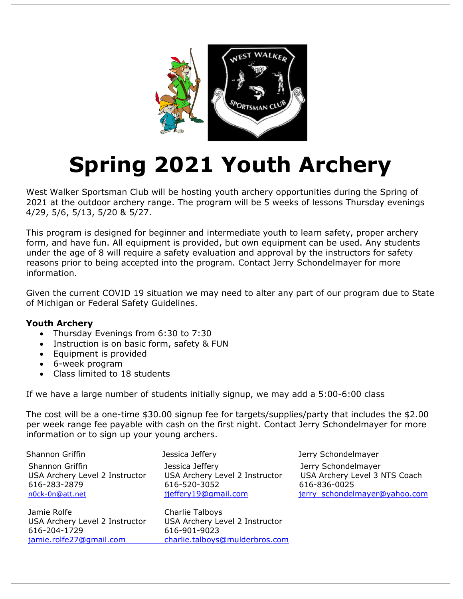

# **Spring 2021 Youth Archery**

West Walker Sportsman Club will be hosting youth archery opportunities during the Spring of 2021 at the outdoor archery range. The program will be 5 weeks of lessons Thursday evenings 4/29, 5/6, 5/13, 5/20 & 5/27.

This program is designed for beginner and intermediate youth to learn safety, proper archery form, and have fun. All equipment is provided, but own equipment can be used. Any students under the age of 8 will require a safety evaluation and approval by the instructors for safety reasons prior to being accepted into the program. Contact Jerry Schondelmayer for more information.

Given the current COVID 19 situation we may need to alter any part of our program due to State of Michigan or Federal Safety Guidelines.

#### **Youth Archery**

- Thursday Evenings from 6:30 to 7:30
- Instruction is on basic form, safety & FUN
- Equipment is provided
- 6-week program
- •Class limited to 18 students

If we have a large number of students initially signup, we may add a 5:00-6:00 class

The cost will be a one-time \$30.00 signup fee for targets/supplies/party that includes the \$2.00 per week range fee payable with cash on the first night. Contact Jerry Schondelmayer for more information or to sign up your young archers.

| Shannon Griffin                                                                      | Jessica Jeffery                                                                           | Jerry Schondelmayer                                                                                   |
|--------------------------------------------------------------------------------------|-------------------------------------------------------------------------------------------|-------------------------------------------------------------------------------------------------------|
| Shannon Griffin<br>USA Archery Level 2 Instructor<br>616-283-2879<br>n0ck-0n@att.net | Jessica Jeffery<br>USA Archery Level 2 Instructor<br>616-520-3052<br>jjeffery19@gmail.com | Jerry Schondelmayer<br>USA Archery Level 3 NTS Coach<br>616-836-0025<br>jerry schondelmayer@yahoo.com |
| Jamie Rolfe<br>USA Archery Level 2 Instructor                                        | Charlie Talboys<br>USA Archery Level 2 Instructor                                         |                                                                                                       |

jamie.rolfe27@gmail.com charlie.talboys@mulderbros.com 616-204-1729 616-901-9023

[jamie.rolfe27@gmail.com](mailto:jamie.rolfe27@gmail.com) [charlie.talboys@mulderbros.com](mailto:charlie.talboys@mulderbros.com)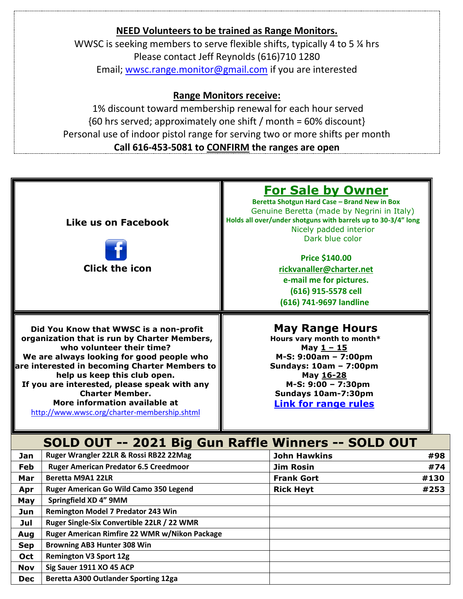### **NEED Volunteers to be trained as Range Monitors.** WWSC is seeking members to serve flexible shifts, typically 4 to 5 ¼ hrs Please contact Jeff Reynolds (616)710 1280 Email; [wwsc.range.monitor@gmail.com](mailto:wwsc.range.monitor@gmail.com) if you are interested

### **Range Monitors receive:**

1% discount toward membership renewal for each hour served {60 hrs served; approximately one shift / month = 60% discount} Personal use of indoor pistol range for serving two or more shifts per month **Call 616-453-5081 to CONFIRM the ranges are open**

| Like us on Facebook<br><b>Click the icon</b>                                                                                                                                                                                                                                                                                                                                                                 | <b>For Sale by Owner</b><br>Beretta Shotgun Hard Case - Brand New in Box<br>Genuine Beretta (made by Negrini in Italy)<br>Holds all over/under shotguns with barrels up to 30-3/4" long<br>Nicely padded interior<br>Dark blue color<br><b>Price \$140.00</b><br>rickvanaller@charter.net<br>e-mail me for pictures.<br>(616) 915-5578 cell<br>(616) 741-9697 landline |  |
|--------------------------------------------------------------------------------------------------------------------------------------------------------------------------------------------------------------------------------------------------------------------------------------------------------------------------------------------------------------------------------------------------------------|------------------------------------------------------------------------------------------------------------------------------------------------------------------------------------------------------------------------------------------------------------------------------------------------------------------------------------------------------------------------|--|
| Did You Know that WWSC is a non-profit<br>organization that is run by Charter Members,<br>who volunteer their time?<br>We are always looking for good people who<br>are interested in becoming Charter Members to<br>help us keep this club open.<br>If you are interested, please speak with any<br><b>Charter Member.</b><br>More information available at<br>http://www.wwsc.org/charter-membership.shtml | <b>May Range Hours</b><br>Hours vary month to month*<br>May $1 - 15$<br>M-S: 9:00am - 7:00pm<br>Sundays: 10am - 7:00pm<br>May 16-28<br>M-S: 9:00 - 7:30pm<br>Sundays 10am-7:30pm<br><b>Link for range rules</b>                                                                                                                                                        |  |

## **SOLD OUT -- 2021 Big Gun Raffle Winners -- SOLD OUT**

| Jan        | Ruger Wrangler 22LR & Rossi RB22 22Mag        | <b>John Hawkins</b> | #98  |
|------------|-----------------------------------------------|---------------------|------|
| Feb        | <b>Ruger American Predator 6.5 Creedmoor</b>  | <b>Jim Rosin</b>    | #74  |
| Mar        | Beretta M9A1 22LR                             | <b>Frank Gort</b>   | #130 |
| Apr        | Ruger American Go Wild Camo 350 Legend        | <b>Rick Heyt</b>    | #253 |
| May        | Springfield XD 4" 9MM                         |                     |      |
| Jun        | <b>Remington Model 7 Predator 243 Win</b>     |                     |      |
| Jul        | Ruger Single-Six Convertible 22LR / 22 WMR    |                     |      |
| Aug        | Ruger American Rimfire 22 WMR w/Nikon Package |                     |      |
| <b>Sep</b> | <b>Browning AB3 Hunter 308 Win</b>            |                     |      |
| Oct        | <b>Remington V3 Sport 12g</b>                 |                     |      |
| <b>Nov</b> | Sig Sauer 1911 XO 45 ACP                      |                     |      |
| <b>Dec</b> | Beretta A300 Outlander Sporting 12ga          |                     |      |